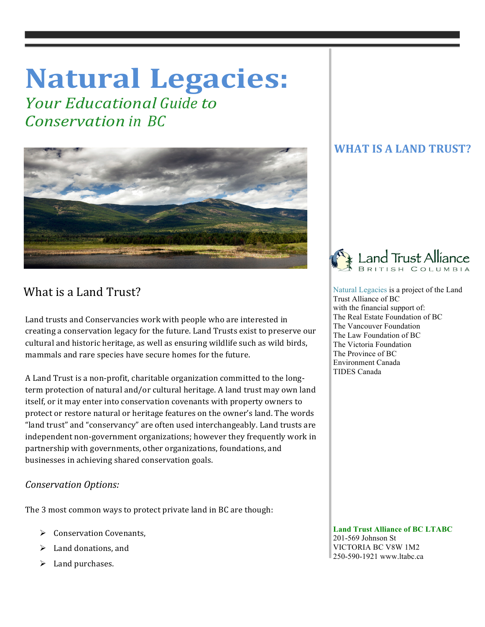# **Natural Legacies:**

*<u>Your Educational Guide to</u> Conservation in BC*



## What is a Land Trust?

Land trusts and Conservancies work with people who are interested in creating a conservation legacy for the future. Land Trusts exist to preserve our cultural and historic heritage, as well as ensuring wildlife such as wild birds, mammals and rare species have secure homes for the future.

A Land Trust is a non-profit, charitable organization committed to the longterm protection of natural and/or cultural heritage. A land trust may own land itself, or it may enter into conservation covenants with property owners to protect or restore natural or heritage features on the owner's land. The words "land trust" and "conservancy" are often used interchangeably. Land trusts are independent non-government organizations; however they frequently work in partnership with governments, other organizations, foundations, and businesses in achieving shared conservation goals.

#### *Conservation Options:*

The 3 most common ways to protect private land in BC are though:

- $\triangleright$  Conservation Covenants,
- $\blacktriangleright$  Land donations, and
- $\blacktriangleright$  Land purchases.

### **WHAT IS A LAND TRUST?**



 Natural Legacies is a project of the Land Trust Alliance of BC with the financial support of: The Real Estate Foundation of BC The Vancouver Foundation The Law Foundation of BC The Victoria Foundation The Province of BC Environment Canada TIDES Canada

 **Land Trust Alliance of BC LTABC** 201-569 Johnson St VICTORIA BC V8W 1M2 250-590-1921 www.ltabc.ca